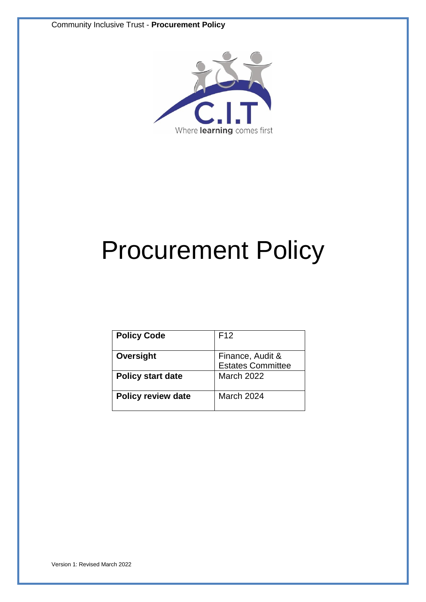

# Procurement Policy

| <b>Policy Code</b>        | F <sub>12</sub>          |
|---------------------------|--------------------------|
|                           |                          |
| Oversight                 | Finance, Audit &         |
|                           | <b>Estates Committee</b> |
| <b>Policy start date</b>  | <b>March 2022</b>        |
|                           |                          |
| <b>Policy review date</b> | March 2024               |
|                           |                          |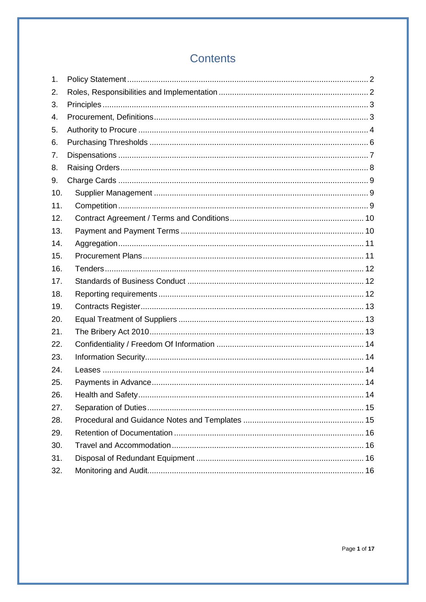# **Contents**

| 1.  |  |
|-----|--|
| 2.  |  |
| 3.  |  |
| 4.  |  |
| 5.  |  |
| 6.  |  |
| 7.  |  |
| 8.  |  |
| 9.  |  |
| 10. |  |
| 11. |  |
| 12. |  |
| 13. |  |
| 14. |  |
| 15. |  |
| 16. |  |
| 17. |  |
| 18. |  |
| 19. |  |
| 20. |  |
| 21. |  |
| 22. |  |
| 23. |  |
| 24. |  |
| 25. |  |
| 26. |  |
| 27. |  |
| 28. |  |
| 29. |  |
| 30. |  |
| 31. |  |
| 32. |  |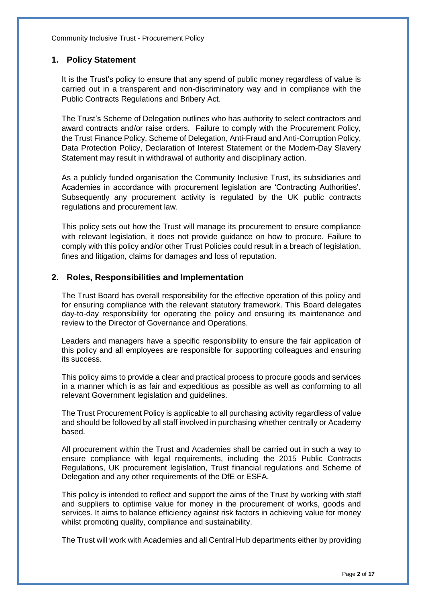# <span id="page-2-0"></span>**1. Policy Statement**

It is the Trust's policy to ensure that any spend of public money regardless of value is carried out in a transparent and non-discriminatory way and in compliance with the Public Contracts Regulations and Bribery Act.

The Trust's Scheme of Delegation outlines who has authority to select contractors and award contracts and/or raise orders. Failure to comply with the Procurement Policy, the Trust Finance Policy, Scheme of Delegation, Anti-Fraud and Anti-Corruption Policy, Data Protection Policy, Declaration of Interest Statement or the Modern-Day Slavery Statement may result in withdrawal of authority and disciplinary action.

As a publicly funded organisation the Community Inclusive Trust, its subsidiaries and Academies in accordance with procurement legislation are 'Contracting Authorities'. Subsequently any procurement activity is regulated by the UK public contracts regulations and procurement law.

This policy sets out how the Trust will manage its procurement to ensure compliance with relevant legislation, it does not provide guidance on how to procure. Failure to comply with this policy and/or other Trust Policies could result in a breach of legislation, fines and litigation, claims for damages and loss of reputation.

# <span id="page-2-1"></span>**2. Roles, Responsibilities and Implementation**

The Trust Board has overall responsibility for the effective operation of this policy and for ensuring compliance with the relevant statutory framework. This Board delegates day-to-day responsibility for operating the policy and ensuring its maintenance and review to the Director of Governance and Operations.

Leaders and managers have a specific responsibility to ensure the fair application of this policy and all employees are responsible for supporting colleagues and ensuring its success.

This policy aims to provide a clear and practical process to procure goods and services in a manner which is as fair and expeditious as possible as well as conforming to all relevant Government legislation and guidelines.

The Trust Procurement Policy is applicable to all purchasing activity regardless of value and should be followed by all staff involved in purchasing whether centrally or Academy based.

All procurement within the Trust and Academies shall be carried out in such a way to ensure compliance with legal requirements, including the 2015 Public Contracts Regulations, UK procurement legislation, Trust financial regulations and Scheme of Delegation and any other requirements of the DfE or ESFA.

This policy is intended to reflect and support the aims of the Trust by working with staff and suppliers to optimise value for money in the procurement of works, goods and services. It aims to balance efficiency against risk factors in achieving value for money whilst promoting quality, compliance and sustainability.

The Trust will work with Academies and all Central Hub departments either by providing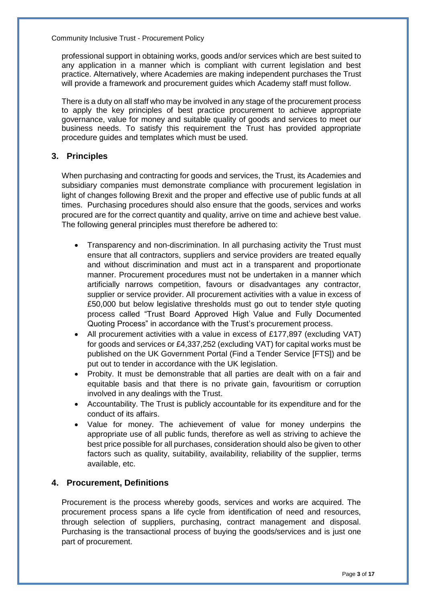professional support in obtaining works, goods and/or services which are best suited to any application in a manner which is compliant with current legislation and best practice. Alternatively, where Academies are making independent purchases the Trust will provide a framework and procurement guides which Academy staff must follow.

There is a duty on all staff who may be involved in any stage of the procurement process to apply the key principles of best practice procurement to achieve appropriate governance, value for money and suitable quality of goods and services to meet our business needs. To satisfy this requirement the Trust has provided appropriate procedure guides and templates which must be used.

# <span id="page-3-0"></span>**3. Principles**

When purchasing and contracting for goods and services, the Trust, its Academies and subsidiary companies must demonstrate compliance with procurement legislation in light of changes following Brexit and the proper and effective use of public funds at all times. Purchasing procedures should also ensure that the goods, services and works procured are for the correct quantity and quality, arrive on time and achieve best value. The following general principles must therefore be adhered to:

- Transparency and non-discrimination. In all purchasing activity the Trust must ensure that all contractors, suppliers and service providers are treated equally and without discrimination and must act in a transparent and proportionate manner. Procurement procedures must not be undertaken in a manner which artificially narrows competition, favours or disadvantages any contractor, supplier or service provider. All procurement activities with a value in excess of £50,000 but below legislative thresholds must go out to tender style quoting process called "Trust Board Approved High Value and Fully Documented Quoting Process" in accordance with the Trust's procurement process.
- All procurement activities with a value in excess of £177,897 (excluding VAT) for goods and services or £4,337,252 (excluding VAT) for capital works must be published on the UK Government Portal (Find a Tender Service [FTS]) and be put out to tender in accordance with the UK legislation.
- Probity. It must be demonstrable that all parties are dealt with on a fair and equitable basis and that there is no private gain, favouritism or corruption involved in any dealings with the Trust.
- Accountability. The Trust is publicly accountable for its expenditure and for the conduct of its affairs.
- Value for money. The achievement of value for money underpins the appropriate use of all public funds, therefore as well as striving to achieve the best price possible for all purchases, consideration should also be given to other factors such as quality, suitability, availability, reliability of the supplier, terms available, etc.

# <span id="page-3-1"></span>**4. Procurement, Definitions**

Procurement is the process whereby goods, services and works are acquired. The procurement process spans a life cycle from identification of need and resources, through selection of suppliers, purchasing, contract management and disposal. Purchasing is the transactional process of buying the goods/services and is just one part of procurement.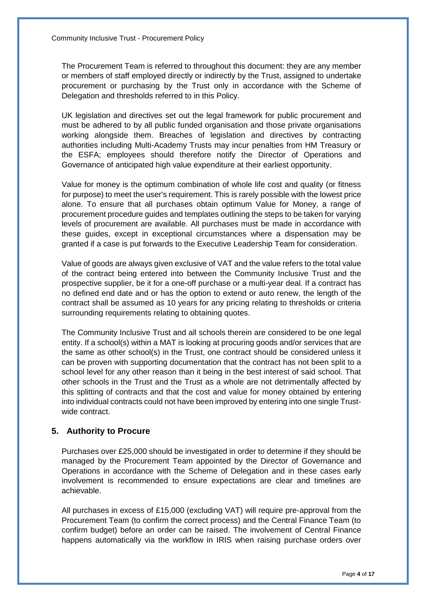The Procurement Team is referred to throughout this document: they are any member or members of staff employed directly or indirectly by the Trust, assigned to undertake procurement or purchasing by the Trust only in accordance with the Scheme of Delegation and thresholds referred to in this Policy.

UK legislation and directives set out the legal framework for public procurement and must be adhered to by all public funded organisation and those private organisations working alongside them. Breaches of legislation and directives by contracting authorities including Multi-Academy Trusts may incur penalties from HM Treasury or the ESFA; employees should therefore notify the Director of Operations and Governance of anticipated high value expenditure at their earliest opportunity.

Value for money is the optimum combination of whole life cost and quality (or fitness for purpose) to meet the user's requirement. This is rarely possible with the lowest price alone. To ensure that all purchases obtain optimum Value for Money, a range of procurement procedure guides and templates outlining the steps to be taken for varying levels of procurement are available. All purchases must be made in accordance with these guides, except in exceptional circumstances where a dispensation may be granted if a case is put forwards to the Executive Leadership Team for consideration.

Value of goods are always given exclusive of VAT and the value refers to the total value of the contract being entered into between the Community Inclusive Trust and the prospective supplier, be it for a one-off purchase or a multi-year deal. If a contract has no defined end date and or has the option to extend or auto renew, the length of the contract shall be assumed as 10 years for any pricing relating to thresholds or criteria surrounding requirements relating to obtaining quotes.

The Community Inclusive Trust and all schools therein are considered to be one legal entity. If a school(s) within a MAT is looking at procuring goods and/or services that are the same as other school(s) in the Trust, one contract should be considered unless it can be proven with supporting documentation that the contract has not been split to a school level for any other reason than it being in the best interest of said school. That other schools in the Trust and the Trust as a whole are not detrimentally affected by this splitting of contracts and that the cost and value for money obtained by entering into individual contracts could not have been improved by entering into one single Trustwide contract.

# <span id="page-4-0"></span>**5. Authority to Procure**

Purchases over £25,000 should be investigated in order to determine if they should be managed by the Procurement Team appointed by the Director of Governance and Operations in accordance with the Scheme of Delegation and in these cases early involvement is recommended to ensure expectations are clear and timelines are achievable.

All purchases in excess of £15,000 (excluding VAT) will require pre-approval from the Procurement Team (to confirm the correct process) and the Central Finance Team (to confirm budget) before an order can be raised. The involvement of Central Finance happens automatically via the workflow in IRIS when raising purchase orders over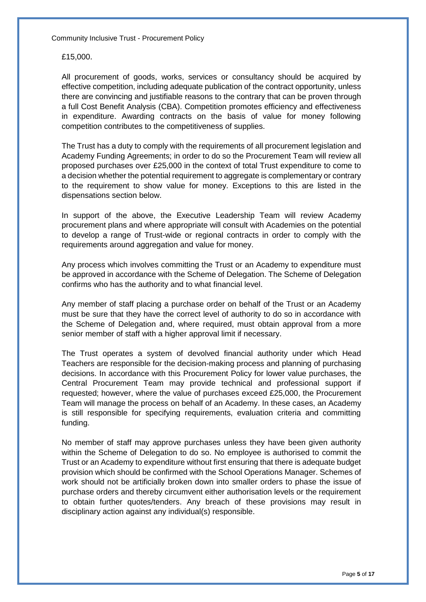£15,000.

All procurement of goods, works, services or consultancy should be acquired by effective competition, including adequate publication of the contract opportunity, unless there are convincing and justifiable reasons to the contrary that can be proven through a full Cost Benefit Analysis (CBA). Competition promotes efficiency and effectiveness in expenditure. Awarding contracts on the basis of value for money following competition contributes to the competitiveness of supplies.

The Trust has a duty to comply with the requirements of all procurement legislation and Academy Funding Agreements; in order to do so the Procurement Team will review all proposed purchases over £25,000 in the context of total Trust expenditure to come to a decision whether the potential requirement to aggregate is complementary or contrary to the requirement to show value for money. Exceptions to this are listed in the dispensations section below.

In support of the above, the Executive Leadership Team will review Academy procurement plans and where appropriate will consult with Academies on the potential to develop a range of Trust-wide or regional contracts in order to comply with the requirements around aggregation and value for money.

Any process which involves committing the Trust or an Academy to expenditure must be approved in accordance with the Scheme of Delegation. The Scheme of Delegation confirms who has the authority and to what financial level.

Any member of staff placing a purchase order on behalf of the Trust or an Academy must be sure that they have the correct level of authority to do so in accordance with the Scheme of Delegation and, where required, must obtain approval from a more senior member of staff with a higher approval limit if necessary.

The Trust operates a system of devolved financial authority under which Head Teachers are responsible for the decision-making process and planning of purchasing decisions. In accordance with this Procurement Policy for lower value purchases, the Central Procurement Team may provide technical and professional support if requested; however, where the value of purchases exceed £25,000, the Procurement Team will manage the process on behalf of an Academy. In these cases, an Academy is still responsible for specifying requirements, evaluation criteria and committing funding.

No member of staff may approve purchases unless they have been given authority within the Scheme of Delegation to do so. No employee is authorised to commit the Trust or an Academy to expenditure without first ensuring that there is adequate budget provision which should be confirmed with the School Operations Manager. Schemes of work should not be artificially broken down into smaller orders to phase the issue of purchase orders and thereby circumvent either authorisation levels or the requirement to obtain further quotes/tenders. Any breach of these provisions may result in disciplinary action against any individual(s) responsible.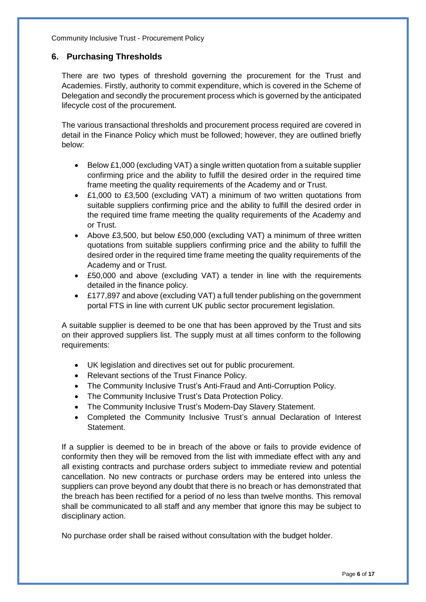# <span id="page-6-0"></span>**6. Purchasing Thresholds**

There are two types of threshold governing the procurement for the Trust and Academies. Firstly, authority to commit expenditure, which is covered in the Scheme of Delegation and secondly the procurement process which is governed by the anticipated lifecycle cost of the procurement.

The various transactional thresholds and procurement process required are covered in detail in the Finance Policy which must be followed; however, they are outlined briefly below:

- Below £1,000 (excluding VAT) a single written quotation from a suitable supplier confirming price and the ability to fulfill the desired order in the required time frame meeting the quality requirements of the Academy and or Trust.
- £1,000 to £3,500 (excluding VAT) a minimum of two written quotations from suitable suppliers confirming price and the ability to fulfill the desired order in the required time frame meeting the quality requirements of the Academy and or Trust.
- Above £3,500, but below £50,000 (excluding VAT) a minimum of three written quotations from suitable suppliers confirming price and the ability to fulfill the desired order in the required time frame meeting the quality requirements of the Academy and or Trust.
- £50,000 and above (excluding VAT) a tender in line with the requirements detailed in the finance policy.
- £177,897 and above (excluding VAT) a full tender publishing on the government portal FTS in line with current UK public sector procurement legislation.

A suitable supplier is deemed to be one that has been approved by the Trust and sits on their approved suppliers list. The supply must at all times conform to the following requirements:

- UK legislation and directives set out for public procurement.
- Relevant sections of the Trust Finance Policy.
- The Community Inclusive Trust's Anti-Fraud and Anti-Corruption Policy.
- The Community Inclusive Trust's Data Protection Policy.
- The Community Inclusive Trust's Modern-Day Slavery Statement.
- Completed the Community Inclusive Trust's annual Declaration of Interest Statement.

If a supplier is deemed to be in breach of the above or fails to provide evidence of conformity then they will be removed from the list with immediate effect with any and all existing contracts and purchase orders subject to immediate review and potential cancellation. No new contracts or purchase orders may be entered into unless the suppliers can prove beyond any doubt that there is no breach or has demonstrated that the breach has been rectified for a period of no less than twelve months. This removal shall be communicated to all staff and any member that ignore this may be subject to disciplinary action.

No purchase order shall be raised without consultation with the budget holder.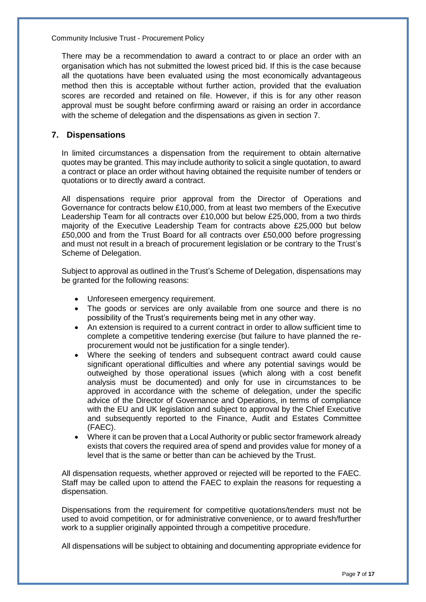There may be a recommendation to award a contract to or place an order with an organisation which has not submitted the lowest priced bid. If this is the case because all the quotations have been evaluated using the most economically advantageous method then this is acceptable without further action, provided that the evaluation scores are recorded and retained on file. However, if this is for any other reason approval must be sought before confirming award or raising an order in accordance with the scheme of delegation and the dispensations as given in section 7.

# <span id="page-7-0"></span>**7. Dispensations**

In limited circumstances a dispensation from the requirement to obtain alternative quotes may be granted. This may include authority to solicit a single quotation, to award a contract or place an order without having obtained the requisite number of tenders or quotations or to directly award a contract.

All dispensations require prior approval from the Director of Operations and Governance for contracts below £10,000, from at least two members of the Executive Leadership Team for all contracts over £10,000 but below £25,000, from a two thirds majority of the Executive Leadership Team for contracts above £25,000 but below £50,000 and from the Trust Board for all contracts over £50,000 before progressing and must not result in a breach of procurement legislation or be contrary to the Trust's Scheme of Delegation.

Subject to approval as outlined in the Trust's Scheme of Delegation, dispensations may be granted for the following reasons:

- Unforeseen emergency requirement.
- The goods or services are only available from one source and there is no possibility of the Trust's requirements being met in any other way.
- An extension is required to a current contract in order to allow sufficient time to complete a competitive tendering exercise (but failure to have planned the reprocurement would not be justification for a single tender).
- Where the seeking of tenders and subsequent contract award could cause significant operational difficulties and where any potential savings would be outweighed by those operational issues (which along with a cost benefit analysis must be documented) and only for use in circumstances to be approved in accordance with the scheme of delegation, under the specific advice of the Director of Governance and Operations, in terms of compliance with the EU and UK legislation and subject to approval by the Chief Executive and subsequently reported to the Finance, Audit and Estates Committee (FAEC).
- Where it can be proven that a Local Authority or public sector framework already exists that covers the required area of spend and provides value for money of a level that is the same or better than can be achieved by the Trust.

All dispensation requests, whether approved or rejected will be reported to the FAEC. Staff may be called upon to attend the FAEC to explain the reasons for requesting a dispensation.

Dispensations from the requirement for competitive quotations/tenders must not be used to avoid competition, or for administrative convenience, or to award fresh/further work to a supplier originally appointed through a competitive procedure.

All dispensations will be subject to obtaining and documenting appropriate evidence for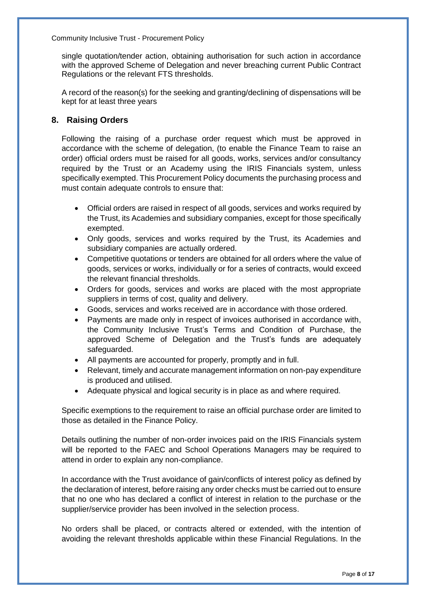single quotation/tender action, obtaining authorisation for such action in accordance with the approved Scheme of Delegation and never breaching current Public Contract Regulations or the relevant FTS thresholds.

A record of the reason(s) for the seeking and granting/declining of dispensations will be kept for at least three years

# <span id="page-8-0"></span>**8. Raising Orders**

Following the raising of a purchase order request which must be approved in accordance with the scheme of delegation, (to enable the Finance Team to raise an order) official orders must be raised for all goods, works, services and/or consultancy required by the Trust or an Academy using the IRIS Financials system, unless specifically exempted. This Procurement Policy documents the purchasing process and must contain adequate controls to ensure that:

- Official orders are raised in respect of all goods, services and works required by the Trust, its Academies and subsidiary companies, except for those specifically exempted.
- Only goods, services and works required by the Trust, its Academies and subsidiary companies are actually ordered.
- Competitive quotations or tenders are obtained for all orders where the value of goods, services or works, individually or for a series of contracts, would exceed the relevant financial thresholds.
- Orders for goods, services and works are placed with the most appropriate suppliers in terms of cost, quality and delivery.
- Goods, services and works received are in accordance with those ordered.
- Payments are made only in respect of invoices authorised in accordance with, the Community Inclusive Trust's Terms and Condition of Purchase, the approved Scheme of Delegation and the Trust's funds are adequately safeguarded.
- All payments are accounted for properly, promptly and in full.
- Relevant, timely and accurate management information on non-pay expenditure is produced and utilised.
- Adequate physical and logical security is in place as and where required.

Specific exemptions to the requirement to raise an official purchase order are limited to those as detailed in the Finance Policy.

Details outlining the number of non-order invoices paid on the IRIS Financials system will be reported to the FAEC and School Operations Managers may be required to attend in order to explain any non-compliance.

In accordance with the Trust avoidance of gain/conflicts of interest policy as defined by the declaration of interest, before raising any order checks must be carried out to ensure that no one who has declared a conflict of interest in relation to the purchase or the supplier/service provider has been involved in the selection process.

No orders shall be placed, or contracts altered or extended, with the intention of avoiding the relevant thresholds applicable within these Financial Regulations. In the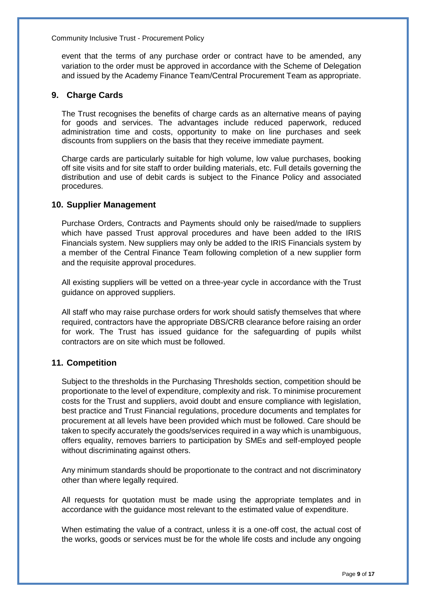event that the terms of any purchase order or contract have to be amended, any variation to the order must be approved in accordance with the Scheme of Delegation and issued by the Academy Finance Team/Central Procurement Team as appropriate.

#### <span id="page-9-0"></span>**9. Charge Cards**

The Trust recognises the benefits of charge cards as an alternative means of paying for goods and services. The advantages include reduced paperwork, reduced administration time and costs, opportunity to make on line purchases and seek discounts from suppliers on the basis that they receive immediate payment.

Charge cards are particularly suitable for high volume, low value purchases, booking off site visits and for site staff to order building materials, etc. Full details governing the distribution and use of debit cards is subject to the Finance Policy and associated procedures.

#### <span id="page-9-1"></span>**10. Supplier Management**

Purchase Orders, Contracts and Payments should only be raised/made to suppliers which have passed Trust approval procedures and have been added to the IRIS Financials system. New suppliers may only be added to the IRIS Financials system by a member of the Central Finance Team following completion of a new supplier form and the requisite approval procedures.

All existing suppliers will be vetted on a three-year cycle in accordance with the Trust guidance on approved suppliers.

All staff who may raise purchase orders for work should satisfy themselves that where required, contractors have the appropriate DBS/CRB clearance before raising an order for work. The Trust has issued guidance for the safeguarding of pupils whilst contractors are on site which must be followed.

# <span id="page-9-2"></span>**11. Competition**

Subject to the thresholds in the Purchasing Thresholds section, competition should be proportionate to the level of expenditure, complexity and risk. To minimise procurement costs for the Trust and suppliers, avoid doubt and ensure compliance with legislation, best practice and Trust Financial regulations, procedure documents and templates for procurement at all levels have been provided which must be followed. Care should be taken to specify accurately the goods/services required in a way which is unambiguous, offers equality, removes barriers to participation by SMEs and self-employed people without discriminating against others.

Any minimum standards should be proportionate to the contract and not discriminatory other than where legally required.

All requests for quotation must be made using the appropriate templates and in accordance with the guidance most relevant to the estimated value of expenditure.

When estimating the value of a contract, unless it is a one-off cost, the actual cost of the works, goods or services must be for the whole life costs and include any ongoing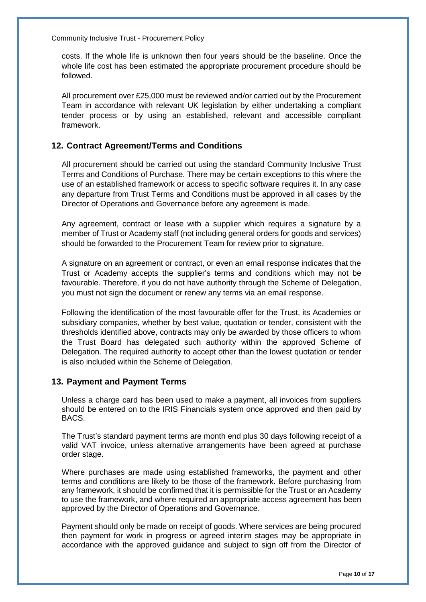costs. If the whole life is unknown then four years should be the baseline. Once the whole life cost has been estimated the appropriate procurement procedure should be followed.

All procurement over £25,000 must be reviewed and/or carried out by the Procurement Team in accordance with relevant UK legislation by either undertaking a compliant tender process or by using an established, relevant and accessible compliant framework.

# <span id="page-10-0"></span>**12. Contract Agreement/Terms and Conditions**

All procurement should be carried out using the standard Community Inclusive Trust Terms and Conditions of Purchase. There may be certain exceptions to this where the use of an established framework or access to specific software requires it. In any case any departure from Trust Terms and Conditions must be approved in all cases by the Director of Operations and Governance before any agreement is made.

Any agreement, contract or lease with a supplier which requires a signature by a member of Trust or Academy staff (not including general orders for goods and services) should be forwarded to the Procurement Team for review prior to signature.

A signature on an agreement or contract, or even an email response indicates that the Trust or Academy accepts the supplier's terms and conditions which may not be favourable. Therefore, if you do not have authority through the Scheme of Delegation, you must not sign the document or renew any terms via an email response.

Following the identification of the most favourable offer for the Trust, its Academies or subsidiary companies, whether by best value, quotation or tender, consistent with the thresholds identified above, contracts may only be awarded by those officers to whom the Trust Board has delegated such authority within the approved Scheme of Delegation. The required authority to accept other than the lowest quotation or tender is also included within the Scheme of Delegation.

# <span id="page-10-1"></span>**13. Payment and Payment Terms**

Unless a charge card has been used to make a payment, all invoices from suppliers should be entered on to the IRIS Financials system once approved and then paid by BACS.

The Trust's standard payment terms are month end plus 30 days following receipt of a valid VAT invoice, unless alternative arrangements have been agreed at purchase order stage.

Where purchases are made using established frameworks, the payment and other terms and conditions are likely to be those of the framework. Before purchasing from any framework, it should be confirmed that it is permissible for the Trust or an Academy to use the framework, and where required an appropriate access agreement has been approved by the Director of Operations and Governance.

Payment should only be made on receipt of goods. Where services are being procured then payment for work in progress or agreed interim stages may be appropriate in accordance with the approved guidance and subject to sign off from the Director of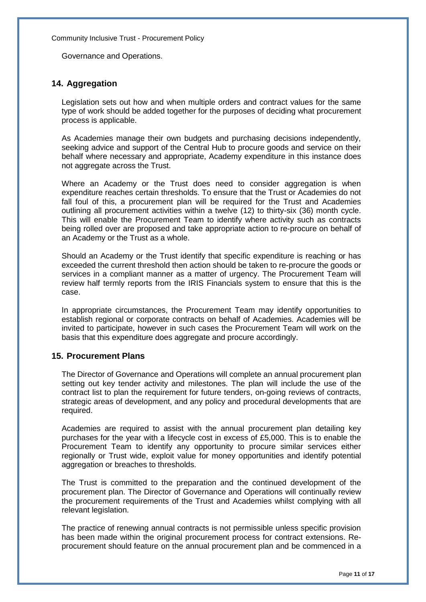Governance and Operations.

#### <span id="page-11-0"></span>**14. Aggregation**

Legislation sets out how and when multiple orders and contract values for the same type of work should be added together for the purposes of deciding what procurement process is applicable.

As Academies manage their own budgets and purchasing decisions independently, seeking advice and support of the Central Hub to procure goods and service on their behalf where necessary and appropriate, Academy expenditure in this instance does not aggregate across the Trust.

Where an Academy or the Trust does need to consider aggregation is when expenditure reaches certain thresholds. To ensure that the Trust or Academies do not fall foul of this, a procurement plan will be required for the Trust and Academies outlining all procurement activities within a twelve (12) to thirty-six (36) month cycle. This will enable the Procurement Team to identify where activity such as contracts being rolled over are proposed and take appropriate action to re-procure on behalf of an Academy or the Trust as a whole.

Should an Academy or the Trust identify that specific expenditure is reaching or has exceeded the current threshold then action should be taken to re-procure the goods or services in a compliant manner as a matter of urgency. The Procurement Team will review half termly reports from the IRIS Financials system to ensure that this is the case.

In appropriate circumstances, the Procurement Team may identify opportunities to establish regional or corporate contracts on behalf of Academies. Academies will be invited to participate, however in such cases the Procurement Team will work on the basis that this expenditure does aggregate and procure accordingly.

#### <span id="page-11-1"></span>**15. Procurement Plans**

The Director of Governance and Operations will complete an annual procurement plan setting out key tender activity and milestones. The plan will include the use of the contract list to plan the requirement for future tenders, on-going reviews of contracts, strategic areas of development, and any policy and procedural developments that are required.

Academies are required to assist with the annual procurement plan detailing key purchases for the year with a lifecycle cost in excess of £5,000. This is to enable the Procurement Team to identify any opportunity to procure similar services either regionally or Trust wide, exploit value for money opportunities and identify potential aggregation or breaches to thresholds.

The Trust is committed to the preparation and the continued development of the procurement plan. The Director of Governance and Operations will continually review the procurement requirements of the Trust and Academies whilst complying with all relevant legislation.

The practice of renewing annual contracts is not permissible unless specific provision has been made within the original procurement process for contract extensions. Reprocurement should feature on the annual procurement plan and be commenced in a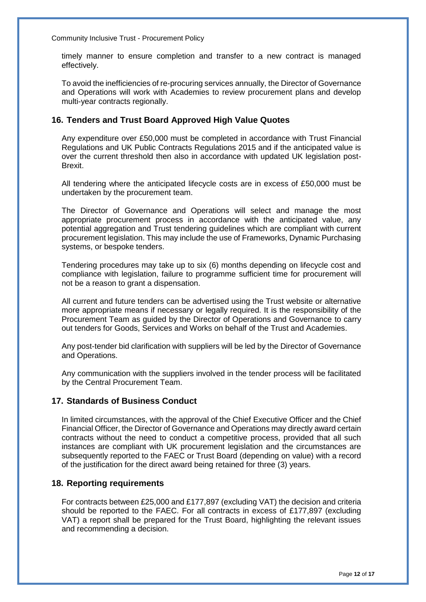timely manner to ensure completion and transfer to a new contract is managed effectively.

To avoid the inefficiencies of re-procuring services annually, the Director of Governance and Operations will work with Academies to review procurement plans and develop multi-year contracts regionally.

#### <span id="page-12-0"></span>**16. Tenders and Trust Board Approved High Value Quotes**

Any expenditure over £50,000 must be completed in accordance with Trust Financial Regulations and UK Public Contracts Regulations 2015 and if the anticipated value is over the current threshold then also in accordance with updated UK legislation post-Brexit.

All tendering where the anticipated lifecycle costs are in excess of £50,000 must be undertaken by the procurement team.

The Director of Governance and Operations will select and manage the most appropriate procurement process in accordance with the anticipated value, any potential aggregation and Trust tendering guidelines which are compliant with current procurement legislation. This may include the use of Frameworks, Dynamic Purchasing systems, or bespoke tenders.

Tendering procedures may take up to six (6) months depending on lifecycle cost and compliance with legislation, failure to programme sufficient time for procurement will not be a reason to grant a dispensation.

All current and future tenders can be advertised using the Trust website or alternative more appropriate means if necessary or legally required. It is the responsibility of the Procurement Team as guided by the Director of Operations and Governance to carry out tenders for Goods, Services and Works on behalf of the Trust and Academies.

Any post-tender bid clarification with suppliers will be led by the Director of Governance and Operations.

Any communication with the suppliers involved in the tender process will be facilitated by the Central Procurement Team.

# <span id="page-12-1"></span>**17. Standards of Business Conduct**

In limited circumstances, with the approval of the Chief Executive Officer and the Chief Financial Officer, the Director of Governance and Operations may directly award certain contracts without the need to conduct a competitive process, provided that all such instances are compliant with UK procurement legislation and the circumstances are subsequently reported to the FAEC or Trust Board (depending on value) with a record of the justification for the direct award being retained for three (3) years.

#### <span id="page-12-2"></span>**18. Reporting requirements**

For contracts between £25,000 and £177,897 (excluding VAT) the decision and criteria should be reported to the FAEC. For all contracts in excess of £177,897 (excluding VAT) a report shall be prepared for the Trust Board, highlighting the relevant issues and recommending a decision.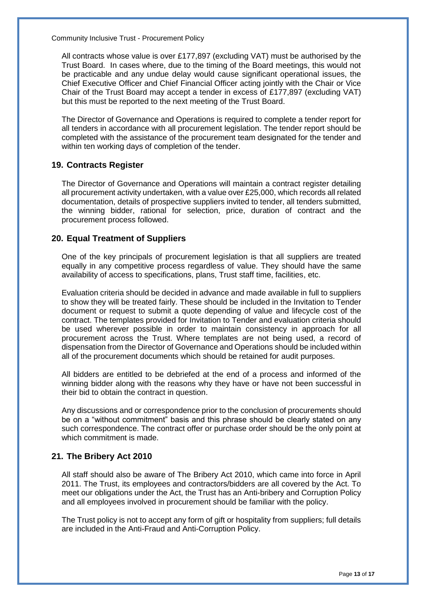All contracts whose value is over £177,897 (excluding VAT) must be authorised by the Trust Board. In cases where, due to the timing of the Board meetings, this would not be practicable and any undue delay would cause significant operational issues, the Chief Executive Officer and Chief Financial Officer acting jointly with the Chair or Vice Chair of the Trust Board may accept a tender in excess of £177,897 (excluding VAT) but this must be reported to the next meeting of the Trust Board.

The Director of Governance and Operations is required to complete a tender report for all tenders in accordance with all procurement legislation. The tender report should be completed with the assistance of the procurement team designated for the tender and within ten working days of completion of the tender.

#### <span id="page-13-0"></span>**19. Contracts Register**

The Director of Governance and Operations will maintain a contract register detailing all procurement activity undertaken, with a value over £25,000, which records all related documentation, details of prospective suppliers invited to tender, all tenders submitted, the winning bidder, rational for selection, price, duration of contract and the procurement process followed.

# <span id="page-13-1"></span>**20. Equal Treatment of Suppliers**

One of the key principals of procurement legislation is that all suppliers are treated equally in any competitive process regardless of value. They should have the same availability of access to specifications, plans, Trust staff time, facilities, etc.

Evaluation criteria should be decided in advance and made available in full to suppliers to show they will be treated fairly. These should be included in the Invitation to Tender document or request to submit a quote depending of value and lifecycle cost of the contract. The templates provided for Invitation to Tender and evaluation criteria should be used wherever possible in order to maintain consistency in approach for all procurement across the Trust. Where templates are not being used, a record of dispensation from the Director of Governance and Operations should be included within all of the procurement documents which should be retained for audit purposes.

All bidders are entitled to be debriefed at the end of a process and informed of the winning bidder along with the reasons why they have or have not been successful in their bid to obtain the contract in question.

Any discussions and or correspondence prior to the conclusion of procurements should be on a "without commitment" basis and this phrase should be clearly stated on any such correspondence. The contract offer or purchase order should be the only point at which commitment is made.

#### <span id="page-13-2"></span>**21. The Bribery Act 2010**

All staff should also be aware of The Bribery Act 2010, which came into force in April 2011. The Trust, its employees and contractors/bidders are all covered by the Act. To meet our obligations under the Act, the Trust has an Anti-bribery and Corruption Policy and all employees involved in procurement should be familiar with the policy.

The Trust policy is not to accept any form of gift or hospitality from suppliers; full details are included in the Anti-Fraud and Anti-Corruption Policy.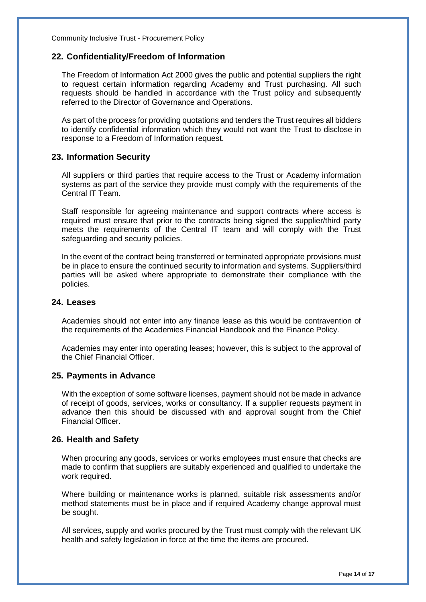#### <span id="page-14-0"></span>**22. Confidentiality/Freedom of Information**

The Freedom of Information Act 2000 gives the public and potential suppliers the right to request certain information regarding Academy and Trust purchasing. All such requests should be handled in accordance with the Trust policy and subsequently referred to the Director of Governance and Operations.

As part of the process for providing quotations and tenders the Trust requires all bidders to identify confidential information which they would not want the Trust to disclose in response to a Freedom of Information request.

#### <span id="page-14-1"></span>**23. Information Security**

All suppliers or third parties that require access to the Trust or Academy information systems as part of the service they provide must comply with the requirements of the Central IT Team.

Staff responsible for agreeing maintenance and support contracts where access is required must ensure that prior to the contracts being signed the supplier/third party meets the requirements of the Central IT team and will comply with the Trust safeguarding and security policies.

In the event of the contract being transferred or terminated appropriate provisions must be in place to ensure the continued security to information and systems. Suppliers/third parties will be asked where appropriate to demonstrate their compliance with the policies.

# <span id="page-14-2"></span>**24. Leases**

Academies should not enter into any finance lease as this would be contravention of the requirements of the Academies Financial Handbook and the Finance Policy.

Academies may enter into operating leases; however, this is subject to the approval of the Chief Financial Officer.

#### <span id="page-14-3"></span>**25. Payments in Advance**

With the exception of some software licenses, payment should not be made in advance of receipt of goods, services, works or consultancy. If a supplier requests payment in advance then this should be discussed with and approval sought from the Chief Financial Officer.

#### <span id="page-14-4"></span>**26. Health and Safety**

When procuring any goods, services or works employees must ensure that checks are made to confirm that suppliers are suitably experienced and qualified to undertake the work required.

Where building or maintenance works is planned, suitable risk assessments and/or method statements must be in place and if required Academy change approval must be sought.

All services, supply and works procured by the Trust must comply with the relevant UK health and safety legislation in force at the time the items are procured.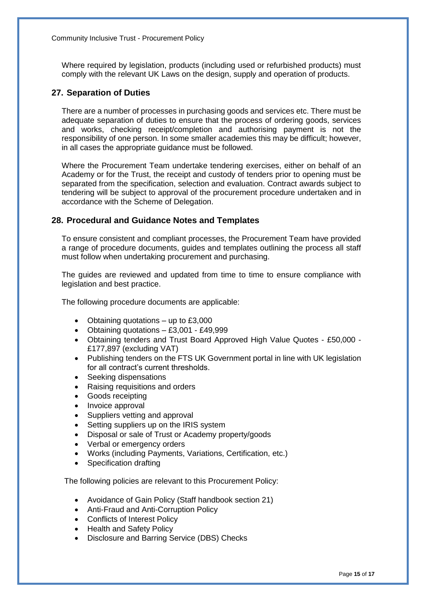Where required by legislation, products (including used or refurbished products) must comply with the relevant UK Laws on the design, supply and operation of products.

# <span id="page-15-0"></span>**27. Separation of Duties**

There are a number of processes in purchasing goods and services etc. There must be adequate separation of duties to ensure that the process of ordering goods, services and works, checking receipt/completion and authorising payment is not the responsibility of one person. In some smaller academies this may be difficult; however, in all cases the appropriate guidance must be followed.

Where the Procurement Team undertake tendering exercises, either on behalf of an Academy or for the Trust, the receipt and custody of tenders prior to opening must be separated from the specification, selection and evaluation. Contract awards subject to tendering will be subject to approval of the procurement procedure undertaken and in accordance with the Scheme of Delegation.

# <span id="page-15-1"></span>**28. Procedural and Guidance Notes and Templates**

To ensure consistent and compliant processes, the Procurement Team have provided a range of procedure documents, guides and templates outlining the process all staff must follow when undertaking procurement and purchasing.

The guides are reviewed and updated from time to time to ensure compliance with legislation and best practice.

The following procedure documents are applicable:

- Obtaining quotations up to £3,000
- Obtaining quotations  $-$  £3,001 £49,999
- Obtaining tenders and Trust Board Approved High Value Quotes £50,000 £177,897 (excluding VAT)
- Publishing tenders on the FTS UK Government portal in line with UK legislation for all contract's current thresholds.
- Seeking dispensations
- Raising requisitions and orders
- Goods receipting
- Invoice approval
- Suppliers vetting and approval
- Setting suppliers up on the IRIS system
- Disposal or sale of Trust or Academy property/goods
- Verbal or emergency orders
- Works (including Payments, Variations, Certification, etc.)
- Specification drafting

The following policies are relevant to this Procurement Policy:

- Avoidance of Gain Policy (Staff handbook section 21)
- Anti-Fraud and Anti-Corruption Policy
- Conflicts of Interest Policy
- Health and Safety Policy
- Disclosure and Barring Service (DBS) Checks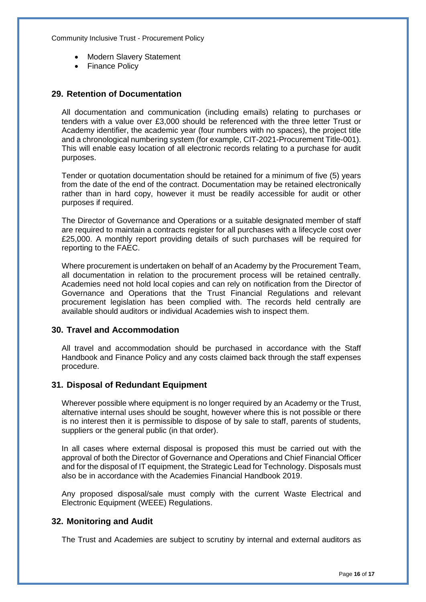- Modern Slavery Statement
- Finance Policy

#### <span id="page-16-0"></span>**29. Retention of Documentation**

All documentation and communication (including emails) relating to purchases or tenders with a value over £3,000 should be referenced with the three letter Trust or Academy identifier, the academic year (four numbers with no spaces), the project title and a chronological numbering system (for example, CIT-2021-Procurement Title-001). This will enable easy location of all electronic records relating to a purchase for audit purposes.

Tender or quotation documentation should be retained for a minimum of five (5) years from the date of the end of the contract. Documentation may be retained electronically rather than in hard copy, however it must be readily accessible for audit or other purposes if required.

The Director of Governance and Operations or a suitable designated member of staff are required to maintain a contracts register for all purchases with a lifecycle cost over £25,000. A monthly report providing details of such purchases will be required for reporting to the FAEC.

Where procurement is undertaken on behalf of an Academy by the Procurement Team, all documentation in relation to the procurement process will be retained centrally. Academies need not hold local copies and can rely on notification from the Director of Governance and Operations that the Trust Financial Regulations and relevant procurement legislation has been complied with. The records held centrally are available should auditors or individual Academies wish to inspect them.

#### <span id="page-16-1"></span>**30. Travel and Accommodation**

All travel and accommodation should be purchased in accordance with the Staff Handbook and Finance Policy and any costs claimed back through the staff expenses procedure.

#### <span id="page-16-2"></span>**31. Disposal of Redundant Equipment**

Wherever possible where equipment is no longer required by an Academy or the Trust, alternative internal uses should be sought, however where this is not possible or there is no interest then it is permissible to dispose of by sale to staff, parents of students, suppliers or the general public (in that order).

In all cases where external disposal is proposed this must be carried out with the approval of both the Director of Governance and Operations and Chief Financial Officer and for the disposal of IT equipment, the Strategic Lead for Technology. Disposals must also be in accordance with the Academies Financial Handbook 2019.

Any proposed disposal/sale must comply with the current Waste Electrical and Electronic Equipment (WEEE) Regulations.

#### <span id="page-16-3"></span>**32. Monitoring and Audit**

The Trust and Academies are subject to scrutiny by internal and external auditors as